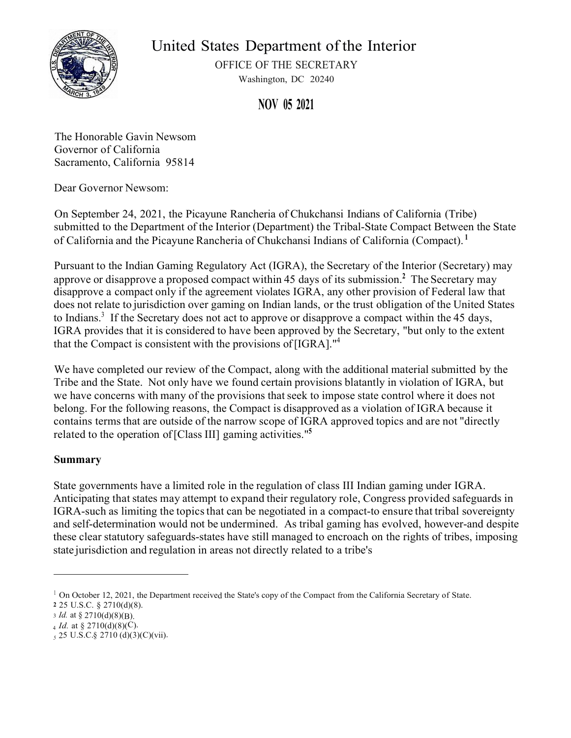

United States Department of the Interior

OFFICE OF THE SECRETARY Washington, DC 20240

**NOV 05 2021** 

The Honorable Gavin Newsom Governor of California Sacramento, California 95814

Dear Governor Newsom:

On September 24, 2021, the Picayune Rancheria of Chukchansi Indians of California (Tribe) submitted to the Department of the Interior (Department) the Tribal-State Compact Between the State of California and the Picayune Rancheria of Chukchansi Indians of California (Compact). **1**

Pursuant to the Indian Gaming Regulatory Act (IGRA), the Secretary of the Interior (Secretary) may approve or disapprove a proposed compact within 45 days of its submission.**<sup>2</sup>**The Secretary may disapprove a compact only if the agreement violates IGRA, any other provision of Federal law that does not relate to jurisdiction over gaming on Indian lands, or the trust obligation of the United States to Indians.<sup>3</sup> If the Secretary does not act to approve or disapprove a compact within the 45 days, IGRA provides that it is considered to have been approved by the Secretary, "but only to the extent that the Compact is consistent with the provisions of [IGRA]."4

We have completed our review of the Compact, along with the additional material submitted by the Tribe and the State. Not only have we found certain provisions blatantly in violation of IGRA, but we have concerns with many of the provisions that seek to impose state control where it does not belong. For the following reasons, the Compact is disapproved as a violation of IGRA because it contains terms that are outside of the narrow scope of IGRA approved topics and are not "directly related to the operation of [Class III] gaming activities."**<sup>5</sup>**

# **Summary**

State governments have a limited role in the regulation of class III Indian gaming under IGRA. Anticipating that states may attempt to expand their regulatory role, Congress provided safeguards in IGRA-such as limiting the topics that can be negotiated in a compact-to ensure that tribal sovereignty and self-determination would not be undermined. As tribal gaming has evolved, however-and despite these clear statutory safeguards-states have still managed to encroach on the rights of tribes, imposing state jurisdiction and regulation in areas not directly related to a tribe's

<sup>&</sup>lt;sup>1</sup> On October 12, 2021, the Department received the State's copy of the Compact from the California Secretary of State.

**<sup>2</sup>**25 U.S.C. § 2710(d)(8).

<sup>3</sup>*Id.* at § 2710(d)(8)(B).

 $_4$  *Id.* at § 2710(d)(8)(C).

*<sup>5</sup>* 25 U.S.C. § 2710 (d)(3)(C)(vii).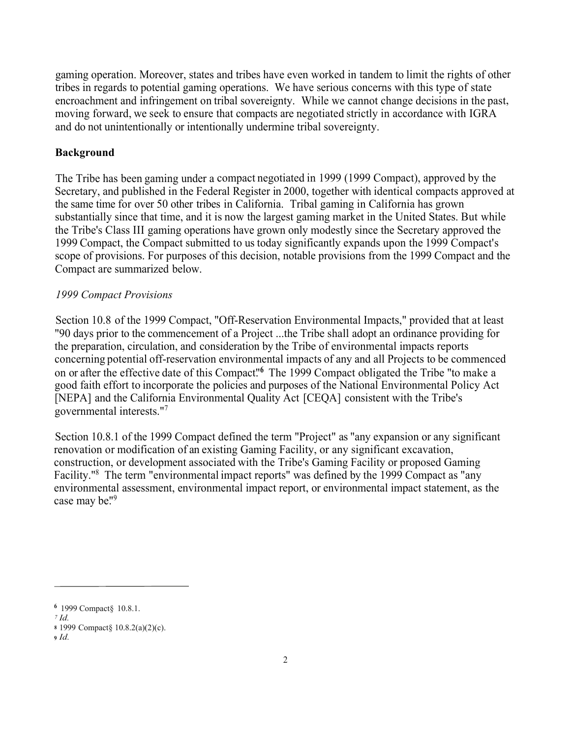gaming operation. Moreover, states and tribes have even worked in tandem to limit the rights of other tribes in regards to potential gaming operations. We have serious concerns with this type of state encroachment and infringement on tribal sovereignty. While we cannot change decisions in the past, moving forward, we seek to ensure that compacts are negotiated strictly in accordance with IGRA and do not unintentionally or intentionally undermine tribal sovereignty.

# **Background**

The Tribe has been gaming under a compact negotiated in 1999 (1999 Compact), approved by the Secretary, and published in the Federal Register in 2000, together with identical compacts approved at the same time for over 50 other tribes in California. Tribal gaming in California has grown substantially since that time, and it is now the largest gaming market in the United States. But while the Tribe's Class III gaming operations have grown only modestly since the Secretary approved the 1999 Compact, the Compact submitted to us today significantly expands upon the 1999 Compact's scope of provisions. For purposes of this decision, notable provisions from the 1999 Compact and the Compact are summarized below.

# *1999 Compact Provisions*

Section 10.8 of the 1999 Compact, "Off-Reservation Environmental Impacts," provided that at least "90 days prior to the commencement of a Project ...the Tribe shall adopt an ordinance providing for the preparation, circulation, and consideration by the Tribe of environmental impacts reports concerning potential off-reservation environmental impacts of any and all Projects to be commenced on or after the effective date of this Compact.<sup>16</sup> The 1999 Compact obligated the Tribe "to make a good faith effort to incorporate the policies and purposes of the National Environmental Policy Act [NEPA] and the California Environmental Quality Act [CEQA] consistent with the Tribe's governmental interests."<sup>7</sup>

Section 10.8.1 of the 1999 Compact defined the term "Project" as "any expansion or any significant renovation or modification of an existing Gaming Facility, or any significant excavation, construction, or development associated with the Tribe's Gaming Facility or proposed Gaming Facility."<sup>8</sup> The term "environmental impact reports" was defined by the 1999 Compact as "any environmental assessment, environmental impact report, or environmental impact statement, as the case may be."<sup>9</sup>

**<sup>6</sup>**1999 Compact§ 10.8.1.

*<sup>7</sup>Id.*  **<sup>8</sup>**1999 Compact§ 10.8.2(a)(2)(c).

**<sup>9</sup>***Id.*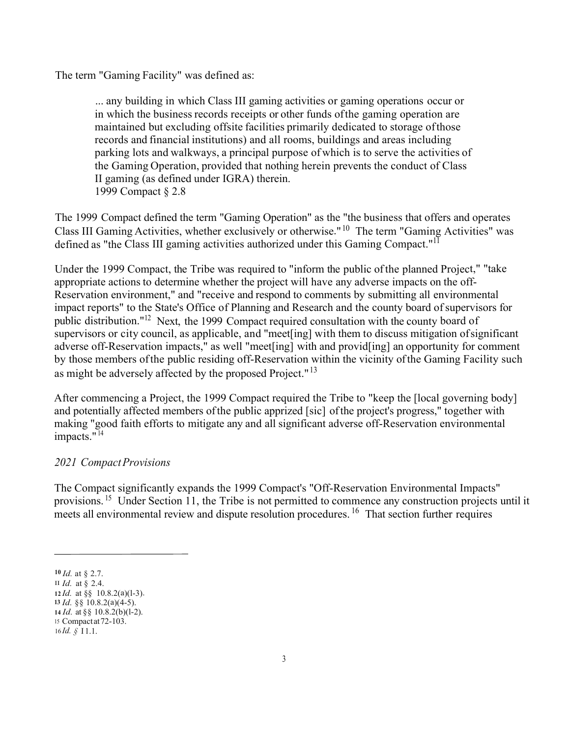The term "Gaming Facility" was defined as:

... any building in which Class III gaming activities or gaming operations occur or in which the business records receipts or other funds ofthe gaming operation are maintained but excluding offsite facilities primarily dedicated to storage ofthose records and financial institutions) and all rooms, buildings and areas including parking lots and walkways, a principal purpose of which is to serve the activities of the Gaming Operation, provided that nothing herein prevents the conduct of Class II gaming (as defined under IGRA) therein. 1999 Compact § 2.8

The 1999 Compact defined the term "Gaming Operation" as the "the business that offers and operates Class III Gaming Activities, whether exclusively or otherwise."<sup>10</sup> The term "Gaming Activities" was defined as "the Class III gaming activities authorized under this Gaming Compact."<sup>11</sup>

Under the 1999 Compact, the Tribe was required to "inform the public ofthe planned Project," "take appropriate actions to determine whether the project will have any adverse impacts on the off-Reservation environment," and "receive and respond to comments by submitting all environmental impact reports" to the State's Office of Planning and Research and the county board of supervisors for public distribution."<sup>12</sup> Next, the 1999 Compact required consultation with the county board of supervisors or city council, as applicable, and "meet[ing] with them to discuss mitigation ofsignificant adverse off-Reservation impacts," as well "meet[ing] with and provid[ing] an opportunity for comment by those members ofthe public residing off-Reservation within the vicinity ofthe Gaming Facility such as might be adversely affected by the proposed Project."<sup>13</sup>

After commencing a Project, the 1999 Compact required the Tribe to "keep the [local governing body] and potentially affected members ofthe public apprized [sic] ofthe project's progress," together with making "good faith efforts to mitigate any and all significant adverse off-Reservation environmental impacts." $14$ 

# *2021 Compact Provisions*

The Compact significantly expands the 1999 Compact's "Off-Reservation Environmental Impacts" provisions. <sup>15</sup> Under Section 11, the Tribe is not permitted to commence any construction projects until it meets all environmental review and dispute resolution procedures. <sup>16</sup> That section further requires

**<sup>10</sup>***Id.* at § 2.7.

II *Id.* at § 2.4.

**<sup>12</sup>***Id.* at §§ 10.8.2(a)(l-3).

**<sup>13</sup>***Id.* §§ 10.8.2(a)(4-5). **<sup>14</sup>***Id.* at §§ 10.8.2(b)(l-2).

<sup>15</sup>Compactat72-103.

<sup>16</sup>*Id. §* I 1.1.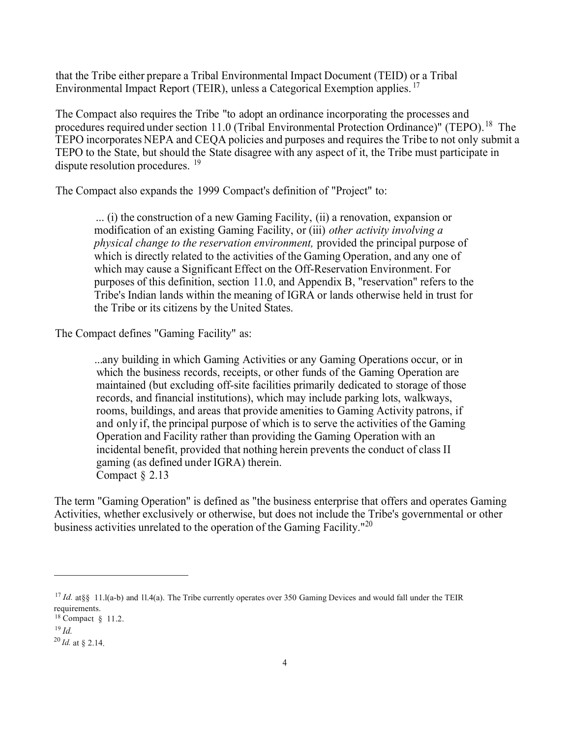that the Tribe either prepare a Tribal Environmental Impact Document (TEID) or a Tribal Environmental Impact Report (TEIR), unless a Categorical Exemption applies.<sup>17</sup>

The Compact also requires the Tribe "to adopt an ordinance incorporating the processes and procedures required under section 11.0 (Tribal Environmental Protection Ordinance)" ([TEPO\).](https://TEPO).18)<sup>18</sup> The TEPO incorporates NEPA and CEQA policies and purposes and requires the Tribe to not only submit a TEPO to the State, but should the State disagree with any aspect of it, the Tribe must participate in dispute resolution procedures. <sup>19</sup>

The Compact also expands the 1999 Compact's definition of "Project" to:

... (i) the construction of a new Gaming Facility, (ii) a renovation, expansion or modification of an existing Gaming Facility, or (iii) *other activity involving a physical change to the reservation environment,* provided the principal purpose of which is directly related to the activities of the Gaming Operation, and any one of which may cause a Significant Effect on the Off-Reservation Environment. For purposes of this definition, section 11.0, and Appendix B, "reservation" refers to the Tribe's Indian lands within the meaning of IGRA or lands otherwise held in trust for the Tribe or its citizens by the United States.

The Compact defines "Gaming Facility" as:

... any building in which Gaming Activities or any Gaming Operations occur, or in which the business records, receipts, or other funds of the Gaming Operation are maintained (but excluding off-site facilities primarily dedicated to storage of those records, and financial institutions), which may include parking lots, walkways, rooms, buildings, and areas that provide amenities to Gaming Activity patrons, if and only if, the principal purpose of which is to serve the activities of the Gaming Operation and Facility rather than providing the Gaming Operation with an incidental benefit, provided that nothing herein prevents the conduct of class II gaming (as defined under IGRA) therein. Compact § 2.13

The term "Gaming Operation" is defined as "the business enterprise that offers and operates Gaming Activities, whether exclusively or otherwise, but does not include the Tribe's governmental or other business activities unrelated to the operation of the Gaming Facility."<sup>20</sup>

<sup>&</sup>lt;sup>17</sup> *Id.* at §§ 11.l(a-b) and 11.4(a). The Tribe currently operates over 350 Gaming Devices and would fall under the TEIR requirements.

<sup>18</sup> Compact § 11.2.

<sup>19</sup> *Id.*

<sup>20</sup> *Id.* at § 2.14.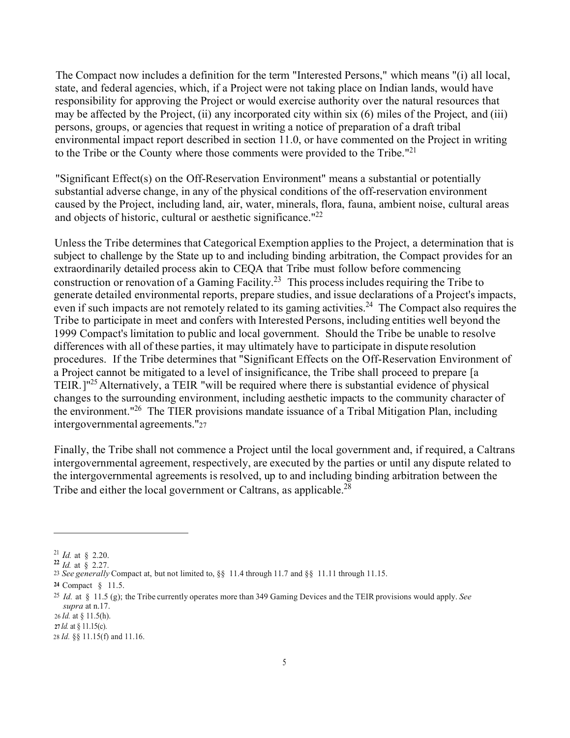The Compact now includes a definition for the term "Interested Persons," which means "(i) all local, state, and federal agencies, which, if a Project were not taking place on Indian lands, would have responsibility for approving the Project or would exercise authority over the natural resources that may be affected by the Project, (ii) any incorporated city within six (6) miles of the Project, and (iii) persons, groups, or agencies that request in writing a notice of preparation of a draft tribal environmental impact report described in section 11.0, or have commented on the Project in writing to the Tribe or the County where those comments were provided to the Tribe."<sup>21</sup>

"Significant Effect(s) on the Off-Reservation Environment" means a substantial or potentially substantial adverse change, in any of the physical conditions of the off-reservation environment caused by the Project, including land, air, water, minerals, flora, fauna, ambient noise, cultural areas and objects of historic, cultural or aesthetic significance."<sup>22</sup>

Unless the Tribe determines that Categorical Exemption applies to the Project, a determination that is subject to challenge by the State up to and including binding arbitration, the Compact provides for an extraordinarily detailed process akin to CEQA that Tribe must follow before commencing construction or renovation of a Gaming Facility.<sup>23</sup> This process includes requiring the Tribe to generate detailed environmental reports, prepare studies, and issue declarations of a Project's impacts, even if such impacts are not remotely related to its gaming activities.<sup>24</sup> The Compact also requires the Tribe to participate in meet and confers with Interested Persons, including entities well beyond the 1999 Compact's limitation to public and local government. Should the Tribe be unable to resolve differences with all of these parties, it may ultimately have to participate in dispute resolution procedures. If the Tribe determines that "Significant Effects on the Off-Reservation Environment of a Project cannot be mitigated to a level of insignificance, the Tribe shall proceed to prepare [ a TEIR. ]<sup>"25</sup> Alternatively, a TEIR "will be required where there is substantial evidence of physical changes to the surrounding environment, including aesthetic impacts to the community character of the environment."<sup>26</sup> The TIER provisions mandate issuance of a Tribal Mitigation Plan, including intergovernmental agreements. "27

Finally, the Tribe shall not commence a Project until the local government and, if required, a Caltrans intergovernmental agreement, respectively, are executed by the parties or until any dispute related to the intergovernmental agreements is resolved, up to and including binding arbitration between the Tribe and either the local government or Caltrans, as applicable.<sup>28</sup>

26 *Id.* at § 11.5(h).

<sup>21</sup> *Id.* at § 2.20.

**<sup>22</sup>***Id.* at § 2.27.

<sup>23</sup>*See generally* Compact at, but not limited to, §§ 11.4 through 11.7 and §§ 11.11 through 11.15.

**<sup>24</sup>** Compact § 11.5.

<sup>25</sup>*Id.* at § 11.5 (g); the Tribe currently operates more than 349 Gaming Devices and the TEIR provisions would apply. *See supra* at n.17.

**<sup>27</sup>** *Id.* at § 11.15(c).

<sup>28</sup> *Id.* §§ 11.15(f) and 11.16.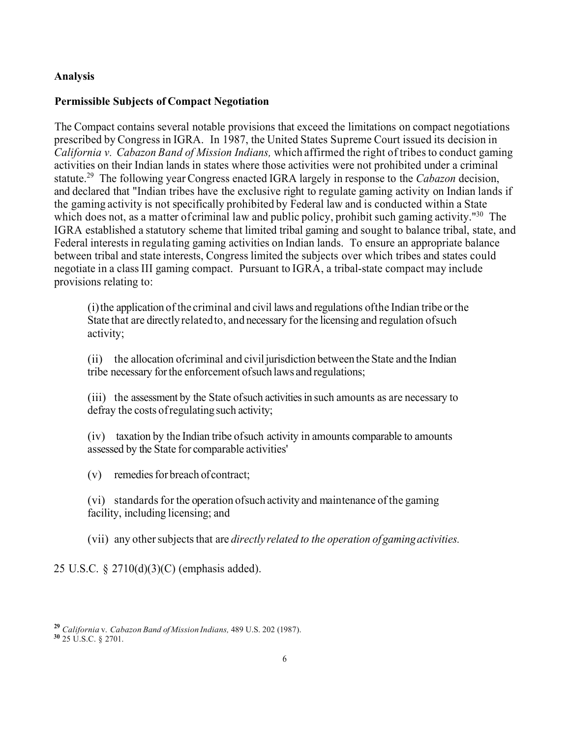### **Analysis**

#### **Permissible Subjects of Compact Negotiation**

The Compact contains several notable provisions that exceed the limitations on compact negotiations prescribed by Congress in IGRA. In 1987, the United States Supreme Court issued its decision in *California v. Cabazon Band of Mission Indians,* which affirmed the right of tribesto conduct gaming activities on their Indian lands in states where those activities were not prohibited under a criminal [statute.29](https://statute.29) The following year Congress enacted IGRA largely in response to the *Cabazon* decision, and declared that "Indian tribes have the exclusive right to regulate gaming activity on Indian lands if the gaming activity is not specifically prohibited by Federal law and is conducted within a State which does not, as a matter of criminal law and public policy, prohibit such gaming activity."<sup>30</sup> The IGRA established a statutory scheme that limited tribal gaming and sought to balance tribal, state, and Federal interests in regulating gaming activities on Indian lands. To ensure an appropriate balance between tribal and state interests, Congress limited the subjects over which tribes and states could negotiate in a class III gaming compact. Pursuant to IGRA, a tribal-state compact may include provisions relating to:

(i)the application of the criminal and civil laws and regulations ofthe Indian tribe orthe State that are directly related to, and necessary for the licensing and regulation of such activity;

(ii) the allocation ofcriminal and civil jurisdiction between the State and the Indian tribe necessary forthe enforcement ofsuch laws and regulations;

(iii) the assessment by the State ofsuch activitiesin such amounts as are necessary to defray the costs of regulating such activity;

(iv) taxation by the Indian tribe of such activity in amounts comparable to amounts assessed by the State for comparable activities'

(v) remedies for breach of contract:

(vi) standards for the operation of such activity and maintenance of the gaming facility, including licensing; and

(vii) any other subjects that are *directly related to the operation of gaming activities.*

25 U.S.C. § 2710(d)(3)(C) (emphasis added).

**<sup>29</sup>***California* v. *Cabazon Band of Mission Indians,* 489 U.S. 202 (1987). **<sup>30</sup>**25 U.S.C. § 2701.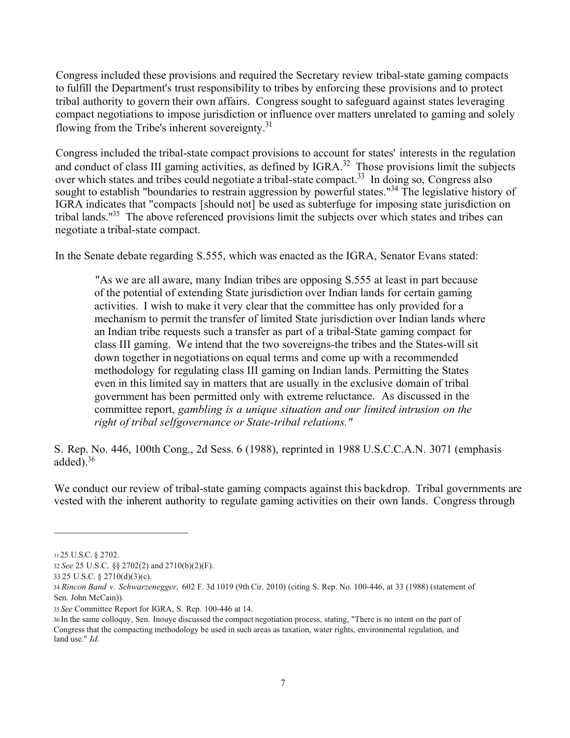Congress included these provisions and required the Secretary review tribal-state gaming compacts to fulfill the Department's trust responsibility to tribes by enforcing these provisions and to protect tribal authority to govern their own affairs. Congress sought to safeguard against states leveraging compact negotiations to impose jurisdiction or influence over matters unrelated to gaming and solely flowing from the Tribe's inherent sovereignty.<sup>31</sup>

Congress included the tribal-state compact provisions to account for states' interests in the regulation and conduct of class III gaming activities, as defined by IGRA.<sup>32</sup> Those provisions limit the subjects over which states and tribes could negotiate a tribal-state compact.<sup>33</sup> In doing so, Congress also sought to establish "boundaries to restrain aggression by powerful states."<sup>34</sup> The legislative history of IGRA indicates that "compacts [should not] be used as subterfuge for imposing state jurisdiction on tribal lands."35 The above referenced provisions limit the subjects over which states and tribes can negotiate a tribal-state compact.

In the Senate debate regarding S.555, which was enacted as the IGRA, Senator Evans stated:

"As we are all aware, many Indian tribes are opposing S.555 at least in part because of the potential of extending State jurisdiction over Indian lands for certain gaming activities. I wish to make it very clear that the committee has only provided for a mechanism to permit the transfer of limited State jurisdiction over Indian lands where an Indian tribe requests such a transfer as part of a tribal-State gaming compact for class III gaming. We intend that the two sovereigns-the tribes and the States-will sit down together in negotiations on equal terms and come up with a recommended methodology for regulating class III gaming on Indian lands. Permitting the States even in this limited say in matters that are usually in the exclusive domain of tribal government has been permitted only with extreme reluctance. As discussed in the committee report, *gambling is a unique situation and our limited intrusion on the right of tribal selfgovernance or State-tribal relations."* 

S. Rep. No. 446, 100th Cong., 2d Sess. 6 (1988), reprinted in 1988 U.S.C.C.A.N. 3071 (emphasis added $)^{36}$ 

We conduct our review of tribal-state gaming compacts against this backdrop. Tribal governments are vested with the inherent authority to regulate gaming activities on their own lands. Congress through

<sup>31 25</sup> U.S.C. § 2702.

<sup>32</sup> *See* 25 U.S.C. §§ 2702(2) and 2710(b)(2)(F).

<sup>33</sup> 25 U.S.C. § 2710(d)(3)(c).

<sup>34</sup> *Rincon Band v. Schwarzenegger,* 602 F. 3d 1019 (9th Cir. 2010) (citing S. Rep. No. 100-446, at 33 (1988) (statement of Sen. John McCain)).

<sup>35</sup> *See* Committee Report for IGRA, S. Rep. 100-446 at 14.

<sup>36</sup> In the same colloquy, Sen. Inouye discussed the compact negotiation process, stating, "There is no intent on the part of Congress that the compacting methodology be used in such areas as taxation, water rights, environmental regulation, and land use." *Id.*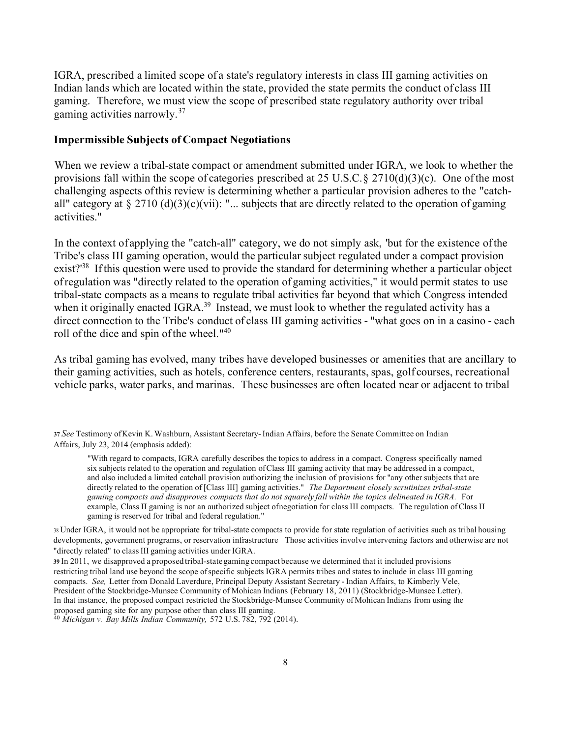IGRA, prescribed a limited scope of a state's regulatory interests in class III gaming activities on Indian lands which are located within the state, provided the state permits the conduct of class III gaming. Therefore, we must view the scope of prescribed state regulatory authority over tribal gaming activities narrowly.<sup>37</sup>

#### **Impermissible Subjects of Compact Negotiations**

When we review a tribal-state compact or amendment submitted under IGRA, we look to whether the provisions fall within the scope of categories prescribed at 25 U.S.C. § 2710(d)(3)(c). One of the most challenging aspects of this review is determining whether a particular provision adheres to the "catchall" category at  $\S 2710 \text{ (d)}(3)(c)$ (vii): "... subjects that are directly related to the operation of gaming activities."

In the context of applying the "catch-all" category, we do not simply ask, 'but for the existence of the Tribe's class III gaming operation, would the particular subject regulated under a compact provision exist?<sup>38</sup> If this question were used to provide the standard for determining whether a particular object of regulation was "directly related to the operation of gaming activities," it would permit states to use tribal-state compacts as a means to regulate tribal activities far beyond that which Congress intended when it originally enacted IGRA.<sup>39</sup> Instead, we must look to whether the regulated activity has a direct connection to the Tribe's conduct of class III gaming activities - "what goes on in a casino - each roll of the dice and spin of the wheel. "40

As tribal gaming has evolved, many tribes have developed businesses or amenities that are ancillary to their gaming activities, such as hotels, conference centers, restaurants, spas, golf courses, recreational vehicle parks, water parks, and marinas. These businesses are often located near or adjacent to tribal

**<sup>37</sup>***See* Testimony of Kevin K. Washburn, Assistant Secretary- Indian Affairs, before the Senate Committee on Indian Affairs, July 23, 2014 (emphasis added):

<sup>&</sup>quot;With regard to compacts, IGRA carefully describes the topics to address in a compact. Congress specifically named six subjects related to the operation and regulation of Class III gaming activity that may be addressed in a compact, and also included a limited catchall provision authorizing the inclusion of provisions for "any other subjects that are directly related to the operation of [Class III] gaming activities." *The Department closely scrutinizes tribal-state gaming compacts and disapproves compacts that do not squarely fall within the topics delineated in IGRA.* For example, Class II gaming is not an authorized subject of negotiation for class III compacts. The regulation of Class II gaming is reserved for tribal and federal regulation."

<sup>38</sup> Under IGRA, it would not be appropriate for tribal-state compacts to provide for state regulation of activities such as tribal housing developments, government programs, or reservation infrastructure Those activities involve intervening factors and otherwise are not "directly related" to class III gaming activities under IGRA.

**<sup>39</sup>** In 2011, we disapproved a proposed tribal-state gaming compact because we determined that it included provisions restricting tribal land use beyond the scope of specific subjects IGRA permits tribes and states to include in class III gaming compacts. *See,* Letter from Donald Laverdure, Principal Deputy Assistant Secretary - Indian Affairs, to Kimberly Vele, President of the Stockbridge-Munsee Community of Mohican Indians (February 18, 2011) (Stockbridge-Munsee Letter). In that instance, the proposed compact restricted the Stockbridge-Munsee Community of Mohican Indians from using the proposed gaming site for any purpose other than class III gaming. 40 *Michigan v. Bay Mills Indian Community,* 572 U.S. 782, 792 (2014).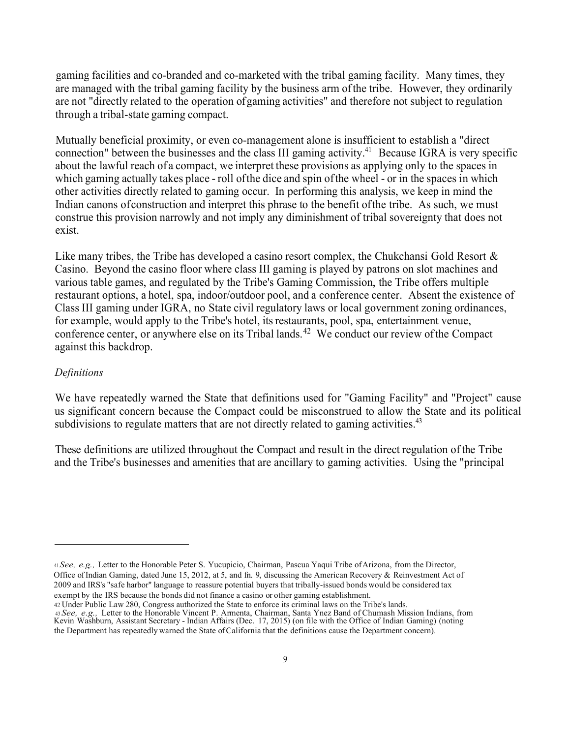gaming facilities and co-branded and co-marketed with the tribal gaming facility. Many times, they are managed with the tribal gaming facility by the business arm of the tribe. However, they ordinarily are not "directly related to the operation ofgaming activities" and therefore not subject to regulation through a tribal-state gaming compact.

Mutually beneficial proximity, or even co-management alone is insufficient to establish a "direct connection" between the businesses and the class III gaming activity.<sup>41</sup> Because IGRA is very specific about the lawful reach of a compact, we interpret these provisions as applying only to the spaces in which gaming actually takes place - roll ofthe dice and spin ofthe wheel - or in the spaces in which other activities directly related to gaming occur. In performing this analysis, we keep in mind the Indian canons of construction and interpret this phrase to the benefit of the tribe. As such, we must construe this provision narrowly and not imply any diminishment of tribal sovereignty that does not exist.

Like many tribes, the Tribe has developed a casino resort complex, the Chukchansi Gold Resort & Casino. Beyond the casino floor where class III gaming is played by patrons on slot machines and various table games, and regulated by the Tribe's Gaming Commission, the Tribe offers multiple restaurant options, a hotel, spa, indoor/outdoor pool, and a conference center. Absent the existence of Class III gaming under IGRA, no State civil regulatory laws or local government zoning ordinances, for example, would apply to the Tribe's hotel, its restaurants, pool, spa, entertainment venue, conference center, or anywhere else on its Tribal [lands.](https://lands.42)<sup>42</sup> We conduct our review of the Compact against this backdrop.

#### *Definitions*

We have repeatedly warned the State that definitions used for "Gaming Facility" and "Project" cause us significant concern because the Compact could be misconstrued to allow the State and its political subdivisions to regulate matters that are not directly related to gaming activities.<sup>43</sup>

These definitions are utilized throughout the Compact and result in the direct regulation of the Tribe and the Tribe's businesses and amenities that are ancillary to gaming activities. Using the "principal

<sup>41</sup> *See, e.g.,* Letter to the Honorable Peter S. Yucupicio, Chairman, Pascua Yaqui Tribe of Arizona, from the Director, Office of Indian Gaming, dated June 15, 2012, at 5, and fn. 9, discussing the American Recovery & Reinvestment Act of 2009 and IRS's "safe harbor" language to reassure potential buyers that tribally-issued bonds would be considered tax

exempt by the IRS because the bonds did not finance a casino or other gaming establishment.<br>42 Under Public Law 280, Congress authorized the State to enforce its criminal laws on the Tribe's lands.

<sup>42</sup> Under Public Law 280, Congress authorized the State to enforce its criminal laws on the Tribe's lands.<br>43 See, e.g., Letter to the Honorable Vincent P. Armenta, Chairman, Santa Ynez Band of Chumash Mission Indians, from Kevin Washburn, Assistant Secretary - Indian Affairs (Dec. 17, 2015) (on file with the Office of Indian Gaming) (noting the Department has repeatedly warned the State of California that the definitions cause the Department concern).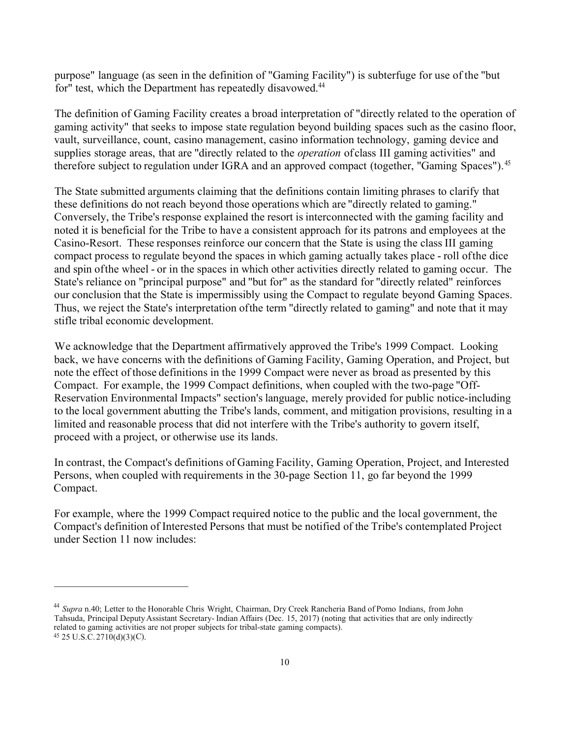purpose" language (as seen in the definition of "Gaming Facility") is subterfuge for use of the "but for" test, which the Department has repeatedly disavowed.<sup>44</sup>

The definition of Gaming Facility creates a broad interpretation of "directly related to the operation of gaming activity" that seeks to impose state regulation beyond building spaces such as the casino floor, vault, surveillance, count, casino management, casino information technology, gaming device and supplies storage areas, that are "directly related to the *operation* of class III gaming activities" and therefore subject to regulation under IGRA and an approved compact (together, "Gaming [Spaces"\).](https://Spaces").45)<sup>45</sup>

The State submitted arguments claiming that the definitions contain limiting phrases to clarify that these definitions do not reach beyond those operations which are "directly related to gaming." Conversely, the Tribe's response explained the resort is interconnected with the gaming facility and noted it is beneficial for the Tribe to have a consistent approach for its patrons and employees at the Casino-Resort. These responses reinforce our concern that the State is using the class III gaming compact process to regulate beyond the spaces in which gaming actually takes place - roll of the dice and spin of the wheel - or in the spaces in which other activities directly related to gaming occur. The State's reliance on "principal purpose" and "but for" as the standard for "directly related" reinforces our conclusion that the State is impermissibly using the Compact to regulate beyond Gaming Spaces. Thus, we reject the State's interpretation of the term "directly related to gaming" and note that it may stifle tribal economic development.

We acknowledge that the Department affirmatively approved the Tribe's 1999 Compact. Looking back, we have concerns with the definitions of Gaming Facility, Gaming Operation, and Project, but note the effect of those definitions in the 1999 Compact were never as broad as presented by this Compact. For example, the 1999 Compact definitions, when coupled with the two-page "Off-Reservation Environmental Impacts" section's language, merely provided for public notice-including to the local government abutting the Tribe's lands, comment, and mitigation provisions, resulting in a limited and reasonable process that did not interfere with the Tribe's authority to govern itself, proceed with a project, or otherwise use its lands.

In contrast, the Compact's definitions of Gaming Facility, Gaming Operation, Project, and Interested Persons, when coupled with requirements in the 30-page Section 11, go far beyond the 1999 Compact.

For example, where the 1999 Compact required notice to the public and the local government, the Compact's definition of Interested Persons that must be notified of the Tribe's contemplated Project under Section 11 now includes:

<sup>44</sup>*Supra* n.40; Letter to the Honorable Chris Wright, Chairman, Dry Creek Rancheria Band of Pomo Indians, from John Tahsuda, Principal Deputy Assistant Secretary- Indian Affairs (Dec. 15, 2017) (noting that activities that are only indirectly related to gaming activities are not proper subjects for tribal-state gaming compacts). 45 25 U.S.C.2710(d)(3)(C).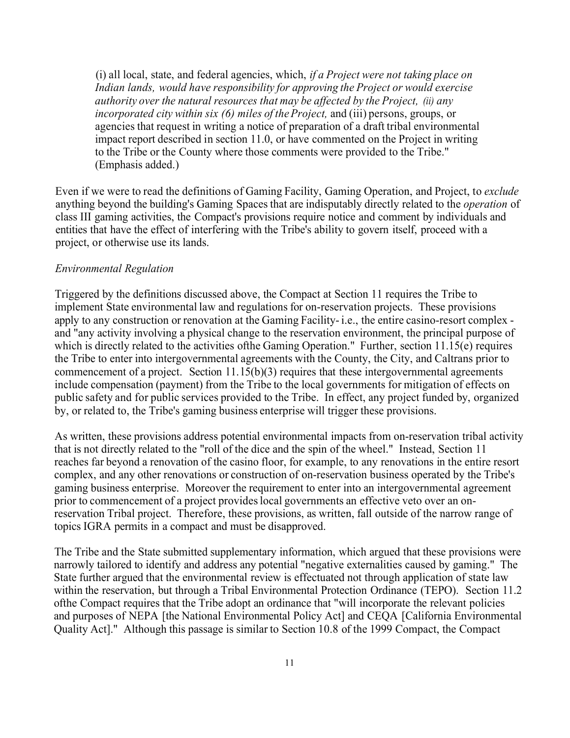(i) all local, state, and federal agencies, which, *if a Project were not taking place on Indian lands, would have responsibility for approving the Project or would exercise authority over the natural resources that may be affected by the Project, (ii) any incorporated city within six (6) miles of the Project,* and (iii) persons, groups, or agencies that request in writing a notice of preparation of a draft tribal environmental impact report described in section 11.0, or have commented on the Project in writing to the Tribe or the County where those comments were provided to the Tribe." (Emphasis added.)

Even if we were to read the definitions of Gaming Facility, Gaming Operation, and Project, to *exclude*  anything beyond the building's Gaming Spaces that are indisputably directly related to the *operation* of class III gaming activities, the Compact's provisions require notice and comment by individuals and entities that have the effect of interfering with the Tribe's ability to govern itself, proceed with a project, or otherwise use its lands.

#### *Environmental Regulation*

Triggered by the definitions discussed above, the Compact at Section 11 requires the Tribe to implement State environmental law and regulations for on-reservation projects. These provisions apply to any construction or renovation at the Gaming Facility- i.e., the entire casino-resort complex and "any activity involving a physical change to the reservation environment, the principal purpose of which is directly related to the activities of the Gaming Operation." Further, section  $11.15(e)$  requires the Tribe to enter into intergovernmental agreements with the County, the City, and Caltrans prior to commencement of a project. Section  $11.15(b)(3)$  requires that these intergovernmental agreements include compensation (payment) from the Tribe to the local governments for mitigation of effects on public safety and for public services provided to the Tribe. In effect, any project funded by, organized by, or related to, the Tribe's gaming business enterprise will trigger these provisions.

As written, these provisions address potential environmental impacts from on-reservation tribal activity that is not directly related to the "roll of the dice and the spin of the wheel." Instead, Section 11 reaches far beyond a renovation of the casino floor, for example, to any renovations in the entire resort complex, and any other renovations or construction of on-reservation business operated by the Tribe's gaming business enterprise. Moreover the requirement to enter into an intergovernmental agreement prior to commencement of a project provides local governments an effective veto over an onreservation Tribal project. Therefore, these provisions, as written, fall outside of the narrow range of topics IGRA permits in a compact and must be disapproved.

The Tribe and the State submitted supplementary information, which argued that these provisions were narrowly tailored to identify and address any potential "negative externalities caused by gaming." The State further argued that the environmental review is effectuated not through application of state law within the reservation, but through a Tribal Environmental Protection Ordinance (TEPO). Section 11.2 ofthe Compact requires that the Tribe adopt an ordinance that "will incorporate the relevant policies and purposes of NEPA [the National Environmental Policy Act] and CEQA [California Environmental Quality Act]." Although this passage is similar to Section 10.8 of the 1999 Compact, the Compact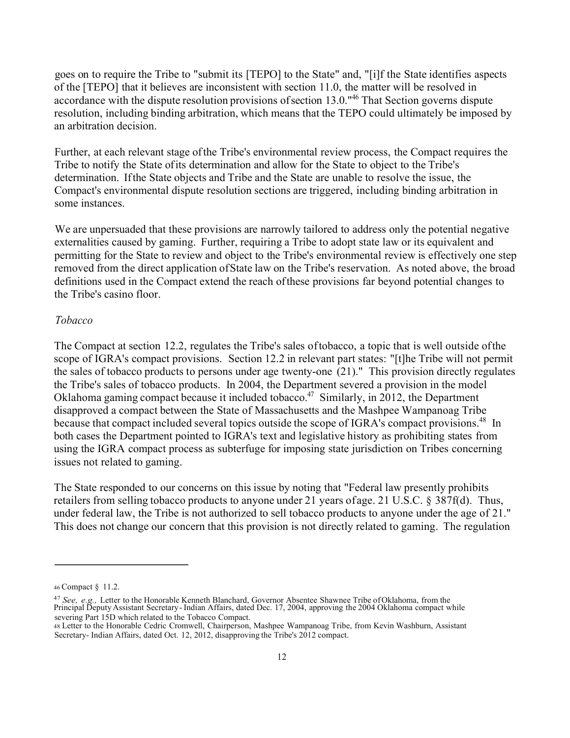goes on to require the Tribe to "submit its [TEPO] to the State" and, "[i]f the State identifies aspects of the [TEPO] that it believes are inconsistent with section 11.0, the matter will be resolved in accordance with the dispute resolution provisions of section 13.0."46 That Section governs dispute resolution, including binding arbitration, which means that the TEPO could ultimately be imposed by an arbitration decision.

Further, at each relevant stage of the Tribe's environmental review process, the Compact requires the Tribe to notify the State of its determination and allow for the State to object to the Tribe's determination. If the State objects and Tribe and the State are unable to resolve the issue, the Compact's environmental dispute resolution sections are triggered, including binding arbitration in some instances.

We are unpersuaded that these provisions are narrowly tailored to address only the potential negative externalities caused by gaming. Further, requiring a Tribe to adopt state law or its equivalent and permitting for the State to review and object to the Tribe's environmental review is effectively one step removed from the direct application of State law on the Tribe's reservation. As noted above, the broad definitions used in the Compact extend the reach of these provisions far beyond potential changes to the Tribe's casino floor.

#### *Tobacco*

The Compact at section 12.2, regulates the Tribe's sales of tobacco, a topic that is well outside of the scope of IGRA's compact provisions. Section 12.2 in relevant part states: "[t]he Tribe will not permit the sales of tobacco products to persons under age twenty-one (21)." This provision directly regulates the Tribe's sales of tobacco products. In 2004, the Department severed a provision in the model Oklahoma gaming compact because it included tobacco.<sup>47</sup> Similarly, in 2012, the Department disapproved a compact between the State of Massachusetts and the Mashpee Wampanoag Tribe because that compact included several topics outside the scope of IGRA's compact provisions.<sup>48</sup> In both cases the Department pointed to IGRA's text and legislative history as prohibiting states from using the IGRA compact process as subterfuge for imposing state jurisdiction on Tribes concerning issues not related to gaming.

The State responded to our concerns on this issue by noting that "Federal law presently prohibits retailers from selling tobacco products to anyone under 21 years of age. 21 U.S.C. § 387f(d). Thus, under federal law, the Tribe is not authorized to sell tobacco products to anyone under the age of 21." This does not change our concern that this provision is not directly related to gaming. The regulation

<sup>46</sup> Compact § 11.2.

<sup>&</sup>lt;sup>47</sup> See, e.g., Letter to the Honorable Kenneth Blanchard, Governor Absentee Shawnee Tribe of Oklahoma, from the<br>Principal Deputy Assistant Secretary - Indian Affairs, dated Dec. 17, 2004, approving the 2004 Oklahoma compa severing Part 15D which related to the Tobacco Compact.

<sup>48</sup> Letter to the Honorable Cedric Cromwell, Chairperson, Mashpee Wampanoag Tribe, from Kevin Washburn, Assistant Secretary- Indian Affairs, dated Oct. 12, 2012, disapproving the Tribe's 2012 compact.